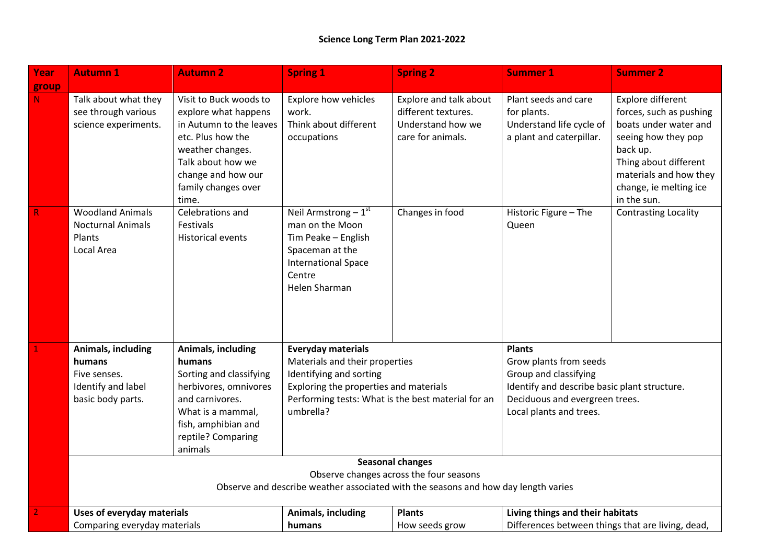| Year         | <b>Autumn 1</b>                                                                                                                                          | <b>Autumn 2</b>                                                                                                                                                                               | <b>Spring 1</b>                                                                                                                                                                                     | <b>Spring 2</b>                                                                         | <b>Summer 1</b>                                                                                                                                                               | <b>Summer 2</b>                                                                                                                                                                                      |
|--------------|----------------------------------------------------------------------------------------------------------------------------------------------------------|-----------------------------------------------------------------------------------------------------------------------------------------------------------------------------------------------|-----------------------------------------------------------------------------------------------------------------------------------------------------------------------------------------------------|-----------------------------------------------------------------------------------------|-------------------------------------------------------------------------------------------------------------------------------------------------------------------------------|------------------------------------------------------------------------------------------------------------------------------------------------------------------------------------------------------|
| group        |                                                                                                                                                          |                                                                                                                                                                                               |                                                                                                                                                                                                     |                                                                                         |                                                                                                                                                                               |                                                                                                                                                                                                      |
| N            | Talk about what they<br>see through various<br>science experiments.                                                                                      | Visit to Buck woods to<br>explore what happens<br>in Autumn to the leaves<br>etc. Plus how the<br>weather changes.<br>Talk about how we<br>change and how our<br>family changes over<br>time. | <b>Explore how vehicles</b><br>work.<br>Think about different<br>occupations                                                                                                                        | Explore and talk about<br>different textures.<br>Understand how we<br>care for animals. | Plant seeds and care<br>for plants.<br>Understand life cycle of<br>a plant and caterpillar.                                                                                   | Explore different<br>forces, such as pushing<br>boats under water and<br>seeing how they pop<br>back up.<br>Thing about different<br>materials and how they<br>change, ie melting ice<br>in the sun. |
| $\mathsf{R}$ | <b>Woodland Animals</b><br><b>Nocturnal Animals</b><br>Plants<br>Local Area                                                                              | Celebrations and<br>Festivals<br><b>Historical events</b>                                                                                                                                     | Neil Armstrong $-1st$<br>man on the Moon<br>Tim Peake - English<br>Spaceman at the<br><b>International Space</b><br>Centre<br>Helen Sharman                                                         | Changes in food                                                                         | Historic Figure - The<br>Queen                                                                                                                                                | <b>Contrasting Locality</b>                                                                                                                                                                          |
|              | Animals, including<br>humans<br>Five senses.<br>Identify and label<br>basic body parts.                                                                  | Animals, including<br>humans<br>Sorting and classifying<br>herbivores, omnivores<br>and carnivores.<br>What is a mammal,<br>fish, amphibian and<br>reptile? Comparing<br>animals              | <b>Everyday materials</b><br>Materials and their properties<br>Identifying and sorting<br>Exploring the properties and materials<br>Performing tests: What is the best material for an<br>umbrella? |                                                                                         | <b>Plants</b><br>Grow plants from seeds<br>Group and classifying<br>Identify and describe basic plant structure.<br>Deciduous and evergreen trees.<br>Local plants and trees. |                                                                                                                                                                                                      |
|              | <b>Seasonal changes</b><br>Observe changes across the four seasons<br>Observe and describe weather associated with the seasons and how day length varies |                                                                                                                                                                                               |                                                                                                                                                                                                     |                                                                                         |                                                                                                                                                                               |                                                                                                                                                                                                      |
|              | <b>Uses of everyday materials</b><br>Comparing everyday materials                                                                                        |                                                                                                                                                                                               | Living things and their habitats<br>Animals, including<br><b>Plants</b><br>Differences between things that are living, dead,<br>humans<br>How seeds grow                                            |                                                                                         |                                                                                                                                                                               |                                                                                                                                                                                                      |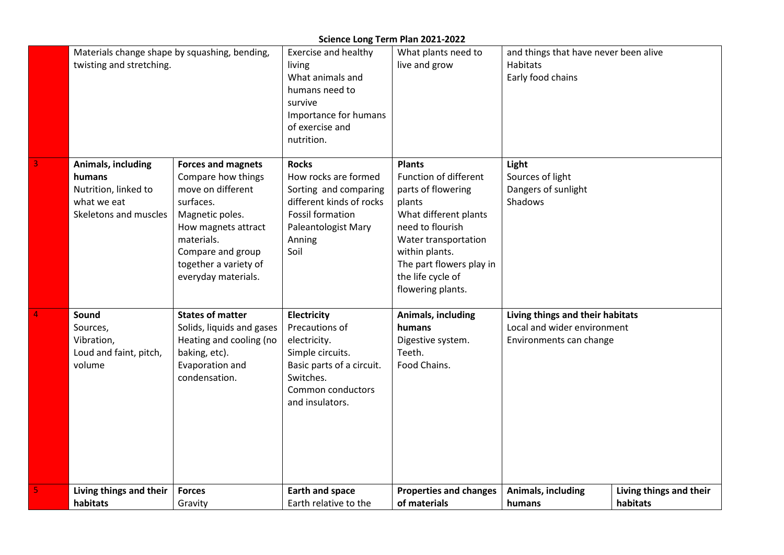## **Science Long Term Plan 2021-2022**

| Living things and their                                                                             | <b>Forces</b>                                                                                                                                                                                                  | <b>Earth and space</b>                                                                                                                                        | <b>Properties and changes</b>                                                                                                                                                                                                       | Animals, including                                                                         | Living things and their |
|-----------------------------------------------------------------------------------------------------|----------------------------------------------------------------------------------------------------------------------------------------------------------------------------------------------------------------|---------------------------------------------------------------------------------------------------------------------------------------------------------------|-------------------------------------------------------------------------------------------------------------------------------------------------------------------------------------------------------------------------------------|--------------------------------------------------------------------------------------------|-------------------------|
| Sound<br>Sources,<br>Vibration,<br>Loud and faint, pitch,<br>volume                                 | <b>States of matter</b><br>Solids, liquids and gases<br>Heating and cooling (no<br>baking, etc).<br>Evaporation and<br>condensation.                                                                           | <b>Electricity</b><br>Precautions of<br>electricity.<br>Simple circuits.<br>Basic parts of a circuit.<br>Switches.<br>Common conductors<br>and insulators.    | Animals, including<br>humans<br>Digestive system.<br>Teeth.<br>Food Chains.                                                                                                                                                         | Living things and their habitats<br>Local and wider environment<br>Environments can change |                         |
| <b>Animals, including</b><br>humans<br>Nutrition, linked to<br>what we eat<br>Skeletons and muscles | <b>Forces and magnets</b><br>Compare how things<br>move on different<br>surfaces.<br>Magnetic poles.<br>How magnets attract<br>materials.<br>Compare and group<br>together a variety of<br>everyday materials. | <b>Rocks</b><br>How rocks are formed<br>Sorting and comparing<br>different kinds of rocks<br><b>Fossil formation</b><br>Paleantologist Mary<br>Anning<br>Soil | <b>Plants</b><br>Function of different<br>parts of flowering<br>plants<br>What different plants<br>need to flourish<br>Water transportation<br>within plants.<br>The part flowers play in<br>the life cycle of<br>flowering plants. | Light<br>Sources of light<br>Dangers of sunlight<br><b>Shadows</b>                         |                         |
| Materials change shape by squashing, bending,<br>twisting and stretching.                           |                                                                                                                                                                                                                | <b>Exercise and healthy</b><br>living<br>What animals and<br>humans need to<br>survive<br>Importance for humans<br>of exercise and<br>nutrition.              | What plants need to<br>live and grow                                                                                                                                                                                                | and things that have never been alive<br><b>Habitats</b><br>Early food chains              |                         |